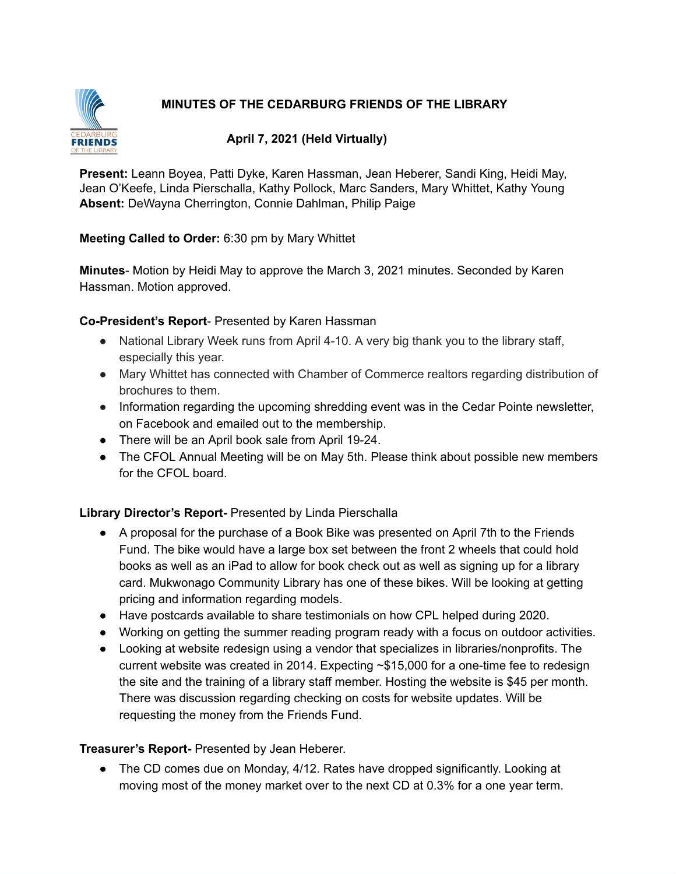# **MINUTES OF THE CEDARBURG FRIENDS OF THE LIBRARY**



# **April 7, 2021 (Held Virtually)**

**Present:** Leann Boyea, Patti Dyke, Karen Hassman, Jean Heberer, Sandi King, Heidi May, Jean O'Keefe, Linda Pierschalla, Kathy Pollock, Marc Sanders, Mary Whittet, Kathy Young **Absent:** DeWayna Cherrington, Connie Dahlman, Philip Paige

# **Meeting Called to Order:** 6:30 pm by Mary Whittet

**Minutes**- Motion by Heidi May to approve the March 3, 2021 minutes. Seconded by Karen Hassman. Motion approved.

### **Co-President's Report**- Presented by Karen Hassman

- National Library Week runs from April 4-10. A very big thank you to the library staff, especially this year.
- Mary Whittet has connected with Chamber of Commerce realtors regarding distribution of brochures to them.
- Information regarding the upcoming shredding event was in the Cedar Pointe newsletter, on Facebook and emailed out to the membership.
- There will be an April book sale from April 19-24.
- The CFOL Annual Meeting will be on May 5th. Please think about possible new members for the CFOL board.

# **Library Director's Report-** Presented by Linda Pierschalla

- A proposal for the purchase of a Book Bike was presented on April 7th to the Friends Fund. The bike would have a large box set between the front 2 wheels that could hold books as well as an iPad to allow for book check out as well as signing up for a library card. Mukwonago Community Library has one of these bikes. Will be looking at getting pricing and information regarding models.
- Have postcards available to share testimonials on how CPL helped during 2020.
- Working on getting the summer reading program ready with a focus on outdoor activities.
- Looking at website redesign using a vendor that specializes in libraries/nonprofits. The current website was created in 2014. Expecting ~\$15,000 for a one-time fee to redesign the site and the training of a library staff member. Hosting the website is \$45 per month. There was discussion regarding checking on costs for website updates. Will be requesting the money from the Friends Fund.

# **Treasurer's Report-** Presented by Jean Heberer.

● The CD comes due on Monday, 4/12. Rates have dropped significantly. Looking at moving most of the money market over to the next CD at 0.3% for a one year term.